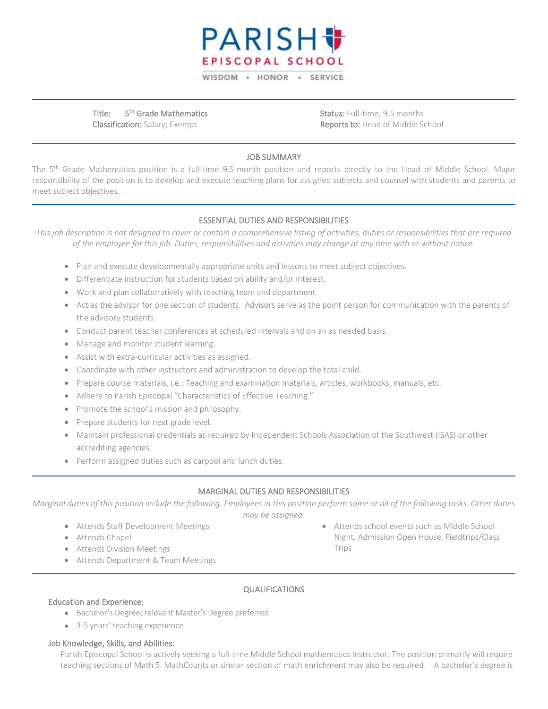

Title: 5<sup>th</sup> Grade Mathematics Classification: Salary; Exempt

Status: Full-time; 9.5 months Reports to: Head of Middle School

### JOB SUMMARY

The 5<sup>th</sup> Grade Mathematics position is a full-time 9.5-month position and reports directly to the Head of Middle School. Major responsibility of the position is to develop and execute teaching plans for assigned subjects and counsel with students and parents to meet subject objectives.

## ESSENTIAL DUTIES AND RESPONSIBILITIES

*This job description is not designed to cover or contain a comprehensive listing of activities, duties or responsibilities that are required of the employee for this job. Duties, responsibilities and activities may change at any time with or without notice.*

- Plan and execute developmentally appropriate units and lessons to meet subject objectives.
- Differentiate instruction for students based on ability and/or interest.
- Work and plan collaboratively with teaching team and department.
- Act as the advisor for one section of students. Advisors serve as the point person for communication with the parents of the advisory students.
- Conduct parent teacher conferences at scheduled intervals and on an as needed basis.
- Manage and monitor student learning.
- Assist with extra-curricular activities as assigned.
- Coordinate with other instructors and administration to develop the total child.
- Prepare course materials, i.e.: Teaching and examination materials, articles, workbooks, manuals, etc.
- Adhere to Parish Episcopal "Characteristics of Effective Teaching."
- Promote the school's mission and philosophy.
- Prepare students for next grade level.
- Maintain professional credentials as required by Independent Schools Association of the Southwest (ISAS) or other accrediting agencies.
- Perform assigned duties such as carpool and lunch duties.

### MARGINAL DUTIES AND RESPONSIBILITIES

*Marginal duties of this position include the following. Employees in this position perform some or all of the following tasks. Other duties may be assigned.*

- Attends Staff Development Meetings
- Attends Chapel
- Attends Division Meetings
- Attends Department & Team Meetings

• Attends school events such as Middle School Night, Admission Open House, Fieldtrips/Class Trips

### QUALIFICATIONS

### Education and Experience:

- Bachelor's Degree; relevant Master's Degree preferred
- 3-5 years' teaching experience

#### Job Knowledge, Skills, and Abilities:

Parish Episcopal School is actively seeking a full-time Middle School mathematics instructor. The position primarily will require teaching sections of Math 5. MathCounts or similar section of math enrichment may also be required. A bachelor's degree is